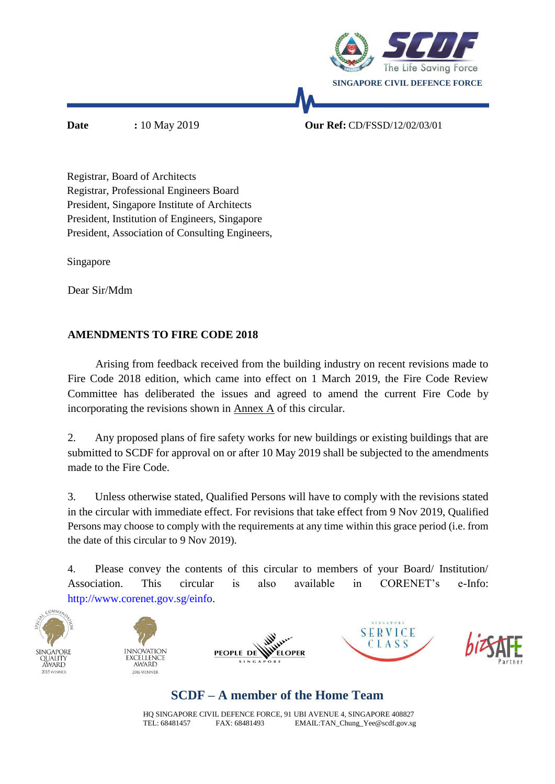

**Date :** 10 May 2019 **Our Ref:** CD/FSSD/12/02/03/01

Registrar, Board of Architects Registrar, Professional Engineers Board President, Singapore Institute of Architects President, Institution of Engineers, Singapore President, Association of Consulting Engineers,

Singapore

Dear Sir/Mdm

### **AMENDMENTS TO FIRE CODE 2018**

 Arising from feedback received from the building industry on recent revisions made to Fire Code 2018 edition, which came into effect on 1 March 2019, the Fire Code Review Committee has deliberated the issues and agreed to amend the current Fire Code by incorporating the revisions shown in Annex A of this circular.

2. Any proposed plans of fire safety works for new buildings or existing buildings that are submitted to SCDF for approval on or after 10 May 2019 shall be subjected to the amendments made to the Fire Code.

3. Unless otherwise stated, Qualified Persons will have to comply with the revisions stated in the circular with immediate effect. For revisions that take effect from 9 Nov 2019, Qualified Persons may choose to comply with the requirements at any time within this grace period (i.e. from the date of this circular to 9 Nov 2019).

4. Please convey the contents of this circular to members of your Board/ Institution/ Association. This circular is also available in CORENET's e-Info: [http://www.corenet.gov.sg/einfo.](http://www.corenet.gov.sg/einfo%20and%20Reach.gov.sg)











# **SCDF – A member of the Home Team**

HQ SINGAPORE CIVIL DEFENCE FORCE, 91 UBI AVENUE 4, SINGAPORE 408827 TEL: 68481457 FAX: 68481493 [EMAIL:TAN\\_Chung\\_Yee@scdf.gov.sg](mailto:TAN_Chung_Yee@scdf.gov.sg)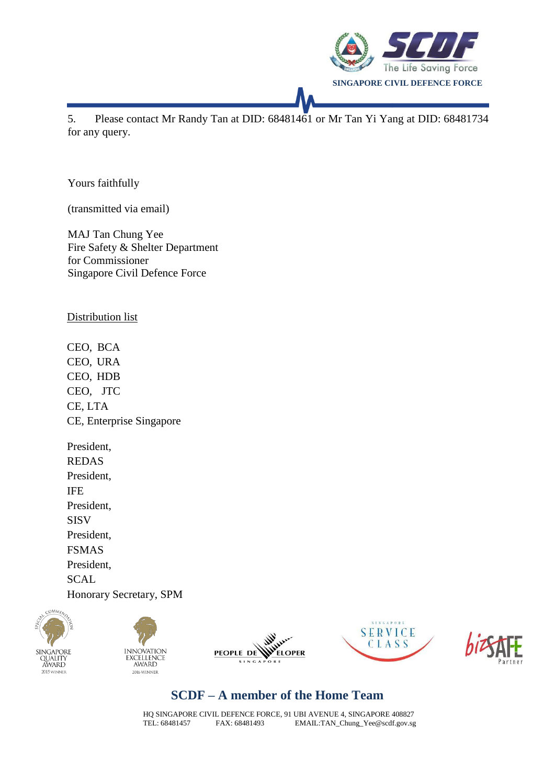

5. Please contact Mr Randy Tan at DID: 68481461 or Mr Tan Yi Yang at DID: 68481734 for any query.

Yours faithfully

(transmitted via email)

MAJ Tan Chung Yee Fire Safety & Shelter Department for Commissioner Singapore Civil Defence Force

Distribution list

CEO, BCA CEO, URA CEO, HDB CEO, JTC CE, LTA CE, Enterprise Singapore

President, REDAS President, IFE President, SISV President, FSMAS President, **SCAL** Honorary Secretary, SPM











## **SCDF – A member of the Home Team**

HQ SINGAPORE CIVIL DEFENCE FORCE, 91 UBI AVENUE 4, SINGAPORE 408827<br>TEL: 68481457 FAX: 68481493 EMAIL:TAN\_Chung\_Yee@scdf.gov.sg EMAIL: TAN\_Chung\_Yee@scdf.gov.sg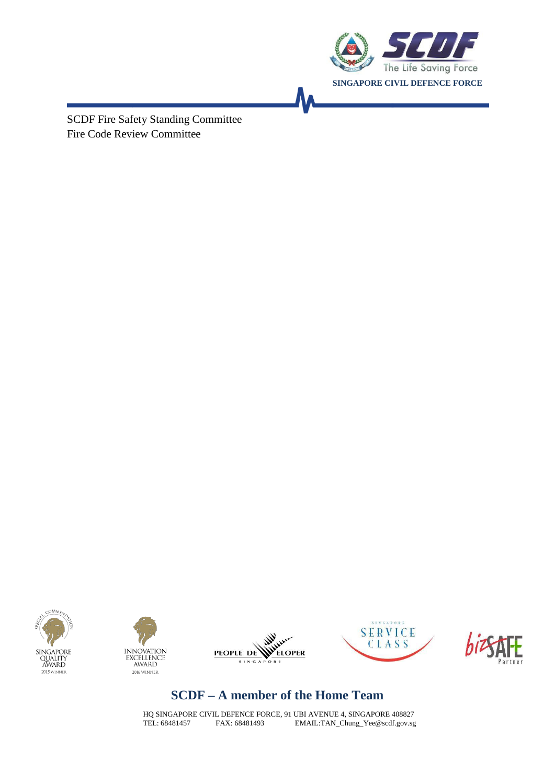

SCDF Fire Safety Standing Committee Fire Code Review Committee











## **SCDF – A member of the Home Team**

HQ SINGAPORE CIVIL DEFENCE FORCE, 91 UBI AVENUE 4, SINGAPORE 408827 TEL: 68481457 FAX: 68481493 [EMAIL:TAN\\_Chung\\_Yee@scdf.gov.sg](mailto:TAN_Chung_Yee@scdf.gov.sg)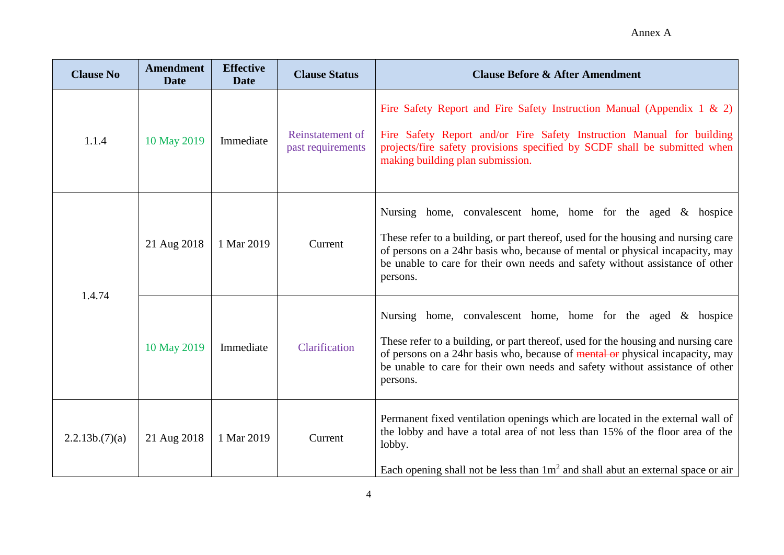| <b>Clause No</b> | <b>Amendment</b><br><b>Date</b> | <b>Effective</b><br><b>Date</b> | <b>Clause Status</b>                  | <b>Clause Before &amp; After Amendment</b>                                                                                                                                                                                                                                                                                        |
|------------------|---------------------------------|---------------------------------|---------------------------------------|-----------------------------------------------------------------------------------------------------------------------------------------------------------------------------------------------------------------------------------------------------------------------------------------------------------------------------------|
| 1.1.4            | 10 May 2019                     | Immediate                       | Reinstatement of<br>past requirements | Fire Safety Report and Fire Safety Instruction Manual (Appendix 1 & 2)<br>Fire Safety Report and/or Fire Safety Instruction Manual for building<br>projects/fire safety provisions specified by SCDF shall be submitted when<br>making building plan submission.                                                                  |
| 1.4.74           | 21 Aug 2018                     | 1 Mar 2019                      | Current                               | Nursing home, convalescent home, home for the aged & hospice<br>These refer to a building, or part thereof, used for the housing and nursing care<br>of persons on a 24hr basis who, because of mental or physical incapacity, may<br>be unable to care for their own needs and safety without assistance of other<br>persons.    |
|                  | 10 May 2019                     | Immediate                       | Clarification                         | Nursing home, convalescent home, home for the aged $\&$ hospice<br>These refer to a building, or part thereof, used for the housing and nursing care<br>of persons on a 24hr basis who, because of mental or physical incapacity, may<br>be unable to care for their own needs and safety without assistance of other<br>persons. |
| 2.2.13b.7)(a)    | 21 Aug 2018                     | 1 Mar 2019                      | Current                               | Permanent fixed ventilation openings which are located in the external wall of<br>the lobby and have a total area of not less than 15% of the floor area of the<br>lobby.<br>Each opening shall not be less than $1m2$ and shall abut an external space or air                                                                    |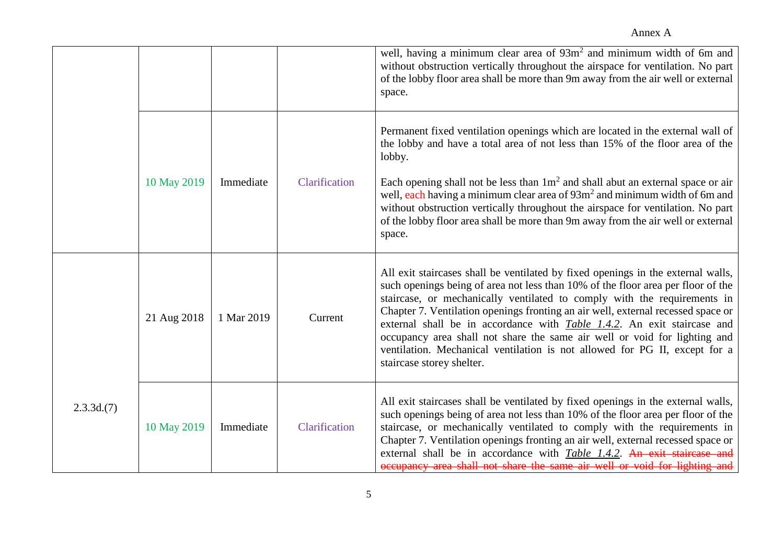|           |             |            |               | well, having a minimum clear area of 93m <sup>2</sup> and minimum width of 6m and<br>without obstruction vertically throughout the airspace for ventilation. No part<br>of the lobby floor area shall be more than 9m away from the air well or external<br>space.                                                                                                                                                                                                                                                                                                                                              |
|-----------|-------------|------------|---------------|-----------------------------------------------------------------------------------------------------------------------------------------------------------------------------------------------------------------------------------------------------------------------------------------------------------------------------------------------------------------------------------------------------------------------------------------------------------------------------------------------------------------------------------------------------------------------------------------------------------------|
|           | 10 May 2019 | Immediate  | Clarification | Permanent fixed ventilation openings which are located in the external wall of<br>the lobby and have a total area of not less than 15% of the floor area of the<br>lobby.<br>Each opening shall not be less than $1m^2$ and shall abut an external space or air<br>well, each having a minimum clear area of 93m <sup>2</sup> and minimum width of 6m and<br>without obstruction vertically throughout the airspace for ventilation. No part<br>of the lobby floor area shall be more than 9m away from the air well or external<br>space.                                                                      |
|           | 21 Aug 2018 | 1 Mar 2019 | Current       | All exit staircases shall be ventilated by fixed openings in the external walls,<br>such openings being of area not less than 10% of the floor area per floor of the<br>staircase, or mechanically ventilated to comply with the requirements in<br>Chapter 7. Ventilation openings fronting an air well, external recessed space or<br>external shall be in accordance with <i>Table 1.4.2</i> . An exit staircase and<br>occupancy area shall not share the same air well or void for lighting and<br>ventilation. Mechanical ventilation is not allowed for PG II, except for a<br>staircase storey shelter. |
| 2.3.3d(7) | 10 May 2019 | Immediate  | Clarification | All exit staircases shall be ventilated by fixed openings in the external walls,<br>such openings being of area not less than 10% of the floor area per floor of the<br>staircase, or mechanically ventilated to comply with the requirements in<br>Chapter 7. Ventilation openings fronting an air well, external recessed space or<br>external shall be in accordance with <i>Table 1.4.2</i> . An exit staircase and<br>occupancy area shall not share the same air well or void for lighting and                                                                                                            |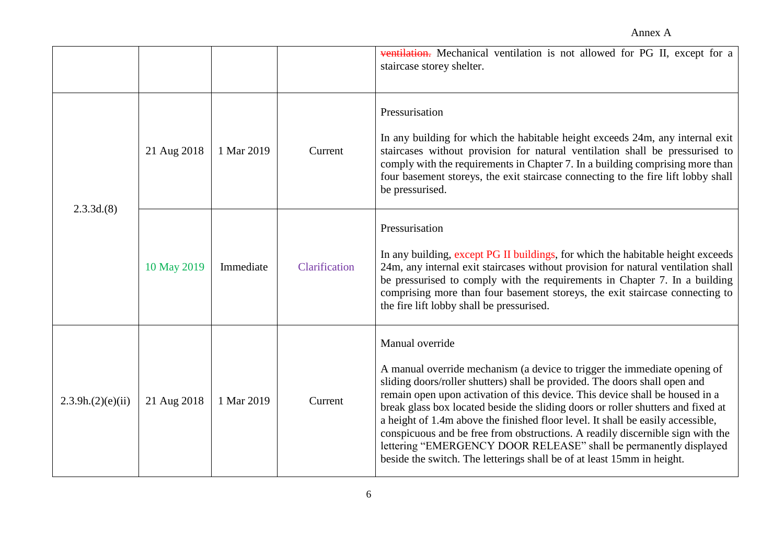|                  |             |            |               | ventilation. Mechanical ventilation is not allowed for PG II, except for a<br>staircase storey shelter.                                                                                                                                                                                                                                                                                                                                                                                                                                                                                                                                                            |
|------------------|-------------|------------|---------------|--------------------------------------------------------------------------------------------------------------------------------------------------------------------------------------------------------------------------------------------------------------------------------------------------------------------------------------------------------------------------------------------------------------------------------------------------------------------------------------------------------------------------------------------------------------------------------------------------------------------------------------------------------------------|
| 2.3.3d(8)        | 21 Aug 2018 | 1 Mar 2019 | Current       | Pressurisation<br>In any building for which the habitable height exceeds 24m, any internal exit<br>staircases without provision for natural ventilation shall be pressurised to<br>comply with the requirements in Chapter 7. In a building comprising more than<br>four basement storeys, the exit staircase connecting to the fire lift lobby shall<br>be pressurised.                                                                                                                                                                                                                                                                                           |
|                  | 10 May 2019 | Immediate  | Clarification | Pressurisation<br>In any building, except PG II buildings, for which the habitable height exceeds<br>24m, any internal exit staircases without provision for natural ventilation shall<br>be pressurised to comply with the requirements in Chapter 7. In a building<br>comprising more than four basement storeys, the exit staircase connecting to<br>the fire lift lobby shall be pressurised.                                                                                                                                                                                                                                                                  |
| 2.3.9h(2)(e)(ii) | 21 Aug 2018 | 1 Mar 2019 | Current       | Manual override<br>A manual override mechanism (a device to trigger the immediate opening of<br>sliding doors/roller shutters) shall be provided. The doors shall open and<br>remain open upon activation of this device. This device shall be housed in a<br>break glass box located beside the sliding doors or roller shutters and fixed at<br>a height of 1.4m above the finished floor level. It shall be easily accessible,<br>conspicuous and be free from obstructions. A readily discernible sign with the<br>lettering "EMERGENCY DOOR RELEASE" shall be permanently displayed<br>beside the switch. The letterings shall be of at least 15mm in height. |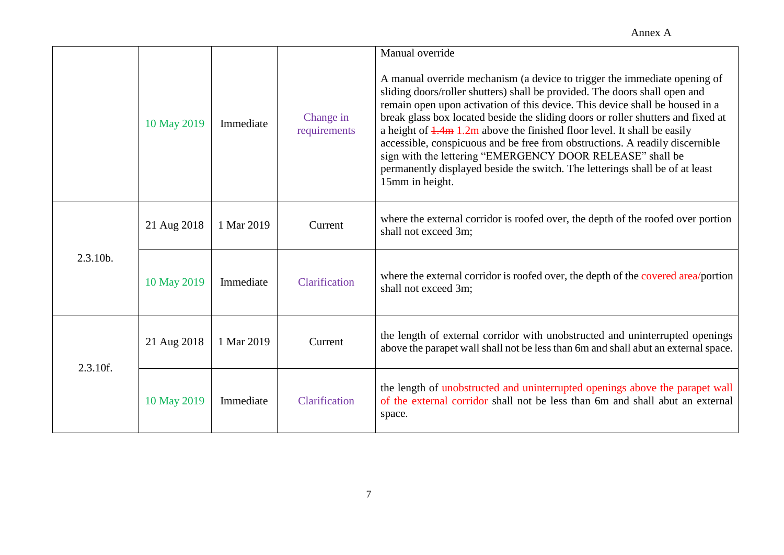|          | 10 May 2019 | Immediate  | Change in<br>requirements | Manual override<br>A manual override mechanism (a device to trigger the immediate opening of<br>sliding doors/roller shutters) shall be provided. The doors shall open and<br>remain open upon activation of this device. This device shall be housed in a<br>break glass box located beside the sliding doors or roller shutters and fixed at<br>a height of $\frac{1.4 \text{m}}{2 \text{ m}}$ 1.2m above the finished floor level. It shall be easily<br>accessible, conspicuous and be free from obstructions. A readily discernible<br>sign with the lettering "EMERGENCY DOOR RELEASE" shall be<br>permanently displayed beside the switch. The letterings shall be of at least<br>15mm in height. |
|----------|-------------|------------|---------------------------|----------------------------------------------------------------------------------------------------------------------------------------------------------------------------------------------------------------------------------------------------------------------------------------------------------------------------------------------------------------------------------------------------------------------------------------------------------------------------------------------------------------------------------------------------------------------------------------------------------------------------------------------------------------------------------------------------------|
| 2.3.10b. | 21 Aug 2018 | 1 Mar 2019 | Current                   | where the external corridor is roofed over, the depth of the roofed over portion<br>shall not exceed 3m;                                                                                                                                                                                                                                                                                                                                                                                                                                                                                                                                                                                                 |
|          | 10 May 2019 | Immediate  | Clarification             | where the external corridor is roofed over, the depth of the covered area/portion<br>shall not exceed 3m;                                                                                                                                                                                                                                                                                                                                                                                                                                                                                                                                                                                                |
| 2.3.10f. | 21 Aug 2018 | 1 Mar 2019 | Current                   | the length of external corridor with unobstructed and uninterrupted openings<br>above the parapet wall shall not be less than 6m and shall abut an external space.                                                                                                                                                                                                                                                                                                                                                                                                                                                                                                                                       |
|          | 10 May 2019 | Immediate  | Clarification             | the length of unobstructed and uninterrupted openings above the parapet wall<br>of the external corridor shall not be less than 6m and shall abut an external<br>space.                                                                                                                                                                                                                                                                                                                                                                                                                                                                                                                                  |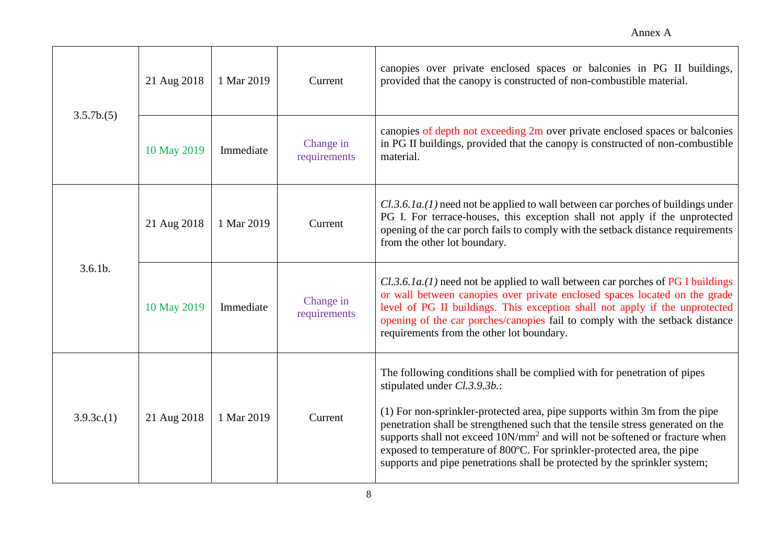| 3.5.7b(5)  | 21 Aug 2018 | 1 Mar 2019 | Current                   | canopies over private enclosed spaces or balconies in PG II buildings,<br>provided that the canopy is constructed of non-combustible material.                                                                                                                                                                                                                                                                                                                                                                                 |
|------------|-------------|------------|---------------------------|--------------------------------------------------------------------------------------------------------------------------------------------------------------------------------------------------------------------------------------------------------------------------------------------------------------------------------------------------------------------------------------------------------------------------------------------------------------------------------------------------------------------------------|
|            | 10 May 2019 | Immediate  | Change in<br>requirements | canopies of depth not exceeding 2m over private enclosed spaces or balconies<br>in PG II buildings, provided that the canopy is constructed of non-combustible<br>material.                                                                                                                                                                                                                                                                                                                                                    |
| $3.6.1b$ . | 21 Aug 2018 | 1 Mar 2019 | Current                   | $Cl.3.6.1a$ .(1) need not be applied to wall between car porches of buildings under<br>PG I. For terrace-houses, this exception shall not apply if the unprotected<br>opening of the car porch fails to comply with the setback distance requirements<br>from the other lot boundary.                                                                                                                                                                                                                                          |
|            | 10 May 2019 | Immediate  | Change in<br>requirements | $Cl.3.6.1a$ .(1) need not be applied to wall between car porches of PG I buildings<br>or wall between canopies over private enclosed spaces located on the grade<br>level of PG II buildings. This exception shall not apply if the unprotected<br>opening of the car porches/canopies fail to comply with the setback distance<br>requirements from the other lot boundary.                                                                                                                                                   |
| 3.9.3c(1)  | 21 Aug 2018 | 1 Mar 2019 | Current                   | The following conditions shall be complied with for penetration of pipes<br>stipulated under Cl.3.9.3b.:<br>(1) For non-sprinkler-protected area, pipe supports within 3m from the pipe<br>penetration shall be strengthened such that the tensile stress generated on the<br>supports shall not exceed 10N/mm <sup>2</sup> and will not be softened or fracture when<br>exposed to temperature of 800°C. For sprinkler-protected area, the pipe<br>supports and pipe penetrations shall be protected by the sprinkler system; |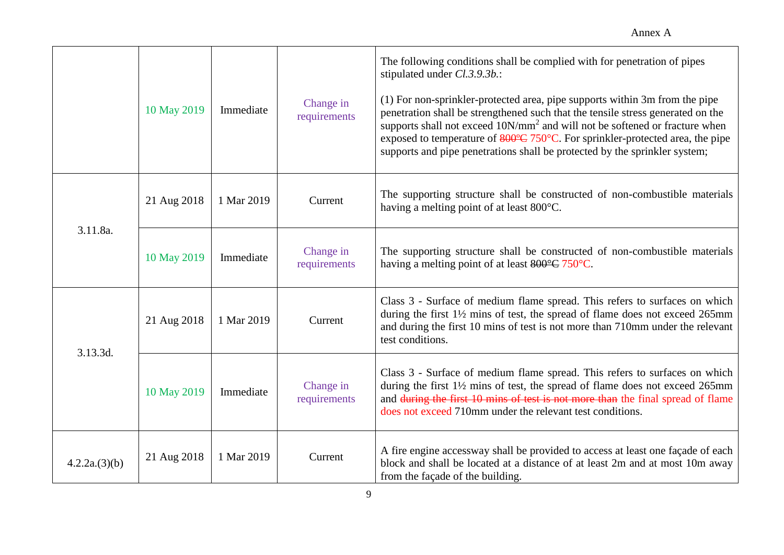|              | 10 May 2019 | Immediate  | Change in<br>requirements | The following conditions shall be complied with for penetration of pipes<br>stipulated under Cl.3.9.3b.:<br>(1) For non-sprinkler-protected area, pipe supports within 3m from the pipe<br>penetration shall be strengthened such that the tensile stress generated on the<br>supports shall not exceed 10N/mm <sup>2</sup> and will not be softened or fracture when<br>exposed to temperature of $\frac{800^{\circ}C}{250^{\circ}C}$ . For sprinkler-protected area, the pipe<br>supports and pipe penetrations shall be protected by the sprinkler system; |
|--------------|-------------|------------|---------------------------|---------------------------------------------------------------------------------------------------------------------------------------------------------------------------------------------------------------------------------------------------------------------------------------------------------------------------------------------------------------------------------------------------------------------------------------------------------------------------------------------------------------------------------------------------------------|
| 3.11.8a.     | 21 Aug 2018 | 1 Mar 2019 | Current                   | The supporting structure shall be constructed of non-combustible materials<br>having a melting point of at least 800°C.                                                                                                                                                                                                                                                                                                                                                                                                                                       |
|              | 10 May 2019 | Immediate  | Change in<br>requirements | The supporting structure shall be constructed of non-combustible materials<br>having a melting point of at least 800°C 750°C.                                                                                                                                                                                                                                                                                                                                                                                                                                 |
| 3.13.3d.     | 21 Aug 2018 | 1 Mar 2019 | Current                   | Class 3 - Surface of medium flame spread. This refers to surfaces on which<br>during the first $1\frac{1}{2}$ mins of test, the spread of flame does not exceed 265mm<br>and during the first 10 mins of test is not more than 710mm under the relevant<br>test conditions.                                                                                                                                                                                                                                                                                   |
|              | 10 May 2019 | Immediate  | Change in<br>requirements | Class 3 - Surface of medium flame spread. This refers to surfaces on which<br>during the first 11/2 mins of test, the spread of flame does not exceed 265mm<br>and during the first 10 mins of test is not more than the final spread of flame<br>does not exceed 710mm under the relevant test conditions.                                                                                                                                                                                                                                                   |
| 4.2.2a(3)(b) | 21 Aug 2018 | 1 Mar 2019 | Current                   | A fire engine accessway shall be provided to access at least one façade of each<br>block and shall be located at a distance of at least 2m and at most 10m away<br>from the façade of the building.                                                                                                                                                                                                                                                                                                                                                           |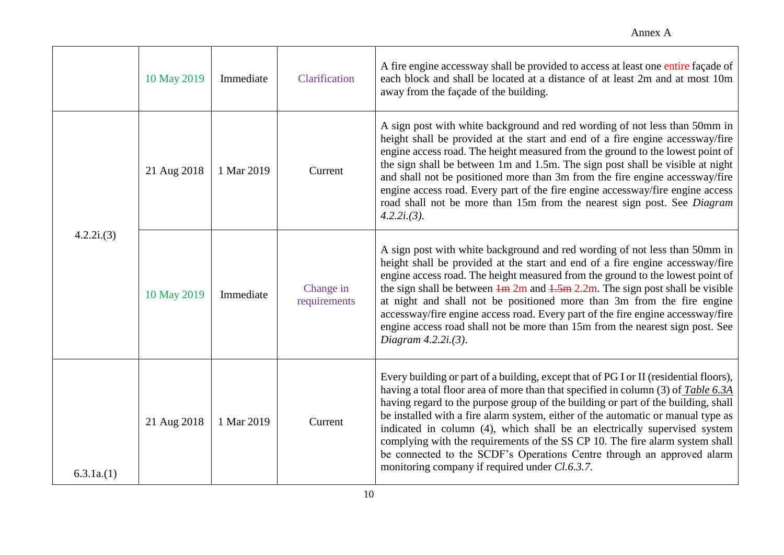|           | 10 May 2019 | Immediate  | Clarification             | A fire engine accessway shall be provided to access at least one entire façade of<br>each block and shall be located at a distance of at least 2m and at most 10m<br>away from the façade of the building.                                                                                                                                                                                                                                                                                                                                                                                                                                   |
|-----------|-------------|------------|---------------------------|----------------------------------------------------------------------------------------------------------------------------------------------------------------------------------------------------------------------------------------------------------------------------------------------------------------------------------------------------------------------------------------------------------------------------------------------------------------------------------------------------------------------------------------------------------------------------------------------------------------------------------------------|
| 4.2.2i(3) | 21 Aug 2018 | 1 Mar 2019 | Current                   | A sign post with white background and red wording of not less than 50mm in<br>height shall be provided at the start and end of a fire engine accessway/fire<br>engine access road. The height measured from the ground to the lowest point of<br>the sign shall be between 1m and 1.5m. The sign post shall be visible at night<br>and shall not be positioned more than 3m from the fire engine accessway/fire<br>engine access road. Every part of the fire engine accessway/fire engine access<br>road shall not be more than 15m from the nearest sign post. See Diagram<br>$4.2.2i(3)$ .                                                |
|           | 10 May 2019 | Immediate  | Change in<br>requirements | A sign post with white background and red wording of not less than 50mm in<br>height shall be provided at the start and end of a fire engine accessway/fire<br>engine access road. The height measured from the ground to the lowest point of<br>the sign shall be between $\frac{1}{2}$ m and $\frac{1.5}{2}$ m. The sign post shall be visible<br>at night and shall not be positioned more than 3m from the fire engine<br>accessway/fire engine access road. Every part of the fire engine accessway/fire<br>engine access road shall not be more than 15m from the nearest sign post. See<br>Diagram $4.2.2i(3)$ .                      |
| 6.3.1a(1) | 21 Aug 2018 | 1 Mar 2019 | Current                   | Every building or part of a building, except that of PG I or II (residential floors),<br>having a total floor area of more than that specified in column (3) of Table 6.3A<br>having regard to the purpose group of the building or part of the building, shall<br>be installed with a fire alarm system, either of the automatic or manual type as<br>indicated in column (4), which shall be an electrically supervised system<br>complying with the requirements of the SS CP 10. The fire alarm system shall<br>be connected to the SCDF's Operations Centre through an approved alarm<br>monitoring company if required under Cl.6.3.7. |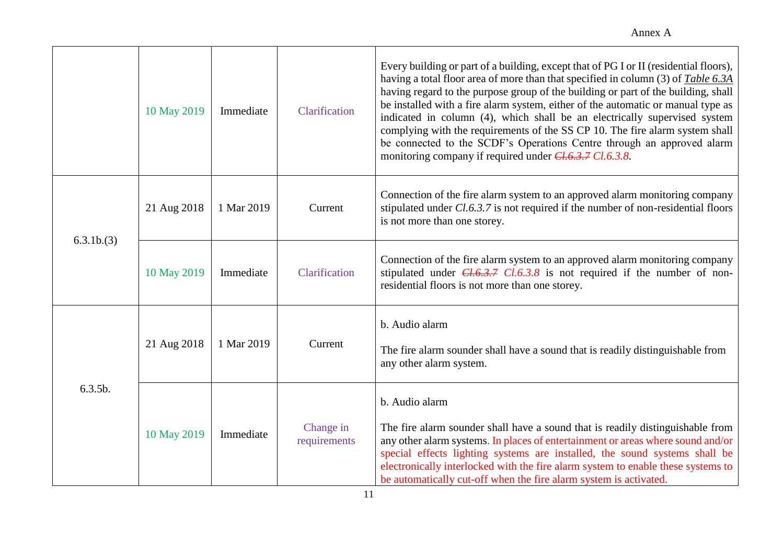|           | 10 May 2019 | Immediate  | Clarification             | Every building or part of a building, except that of PG I or II (residential floors),<br>having a total floor area of more than that specified in column (3) of Table 6.3A<br>having regard to the purpose group of the building or part of the building, shall<br>be installed with a fire alarm system, either of the automatic or manual type as<br>indicated in column (4), which shall be an electrically supervised system<br>complying with the requirements of the SS CP 10. The fire alarm system shall<br>be connected to the SCDF's Operations Centre through an approved alarm<br>monitoring company if required under $CL.6.3.7 CL.6.3.8$ . |
|-----------|-------------|------------|---------------------------|----------------------------------------------------------------------------------------------------------------------------------------------------------------------------------------------------------------------------------------------------------------------------------------------------------------------------------------------------------------------------------------------------------------------------------------------------------------------------------------------------------------------------------------------------------------------------------------------------------------------------------------------------------|
| 6.3.1b(3) | 21 Aug 2018 | 1 Mar 2019 | Current                   | Connection of the fire alarm system to an approved alarm monitoring company<br>stipulated under Cl.6.3.7 is not required if the number of non-residential floors<br>is not more than one storey.                                                                                                                                                                                                                                                                                                                                                                                                                                                         |
|           | 10 May 2019 | Immediate  | Clarification             | Connection of the fire alarm system to an approved alarm monitoring company<br>stipulated under $CL6.3.7$ $Cl.6.3.8$ is not required if the number of non-<br>residential floors is not more than one storey.                                                                                                                                                                                                                                                                                                                                                                                                                                            |
| 6.3.5b.   | 21 Aug 2018 | 1 Mar 2019 | Current                   | b. Audio alarm<br>The fire alarm sounder shall have a sound that is readily distinguishable from<br>any other alarm system.                                                                                                                                                                                                                                                                                                                                                                                                                                                                                                                              |
|           | 10 May 2019 | Immediate  | Change in<br>requirements | b. Audio alarm<br>The fire alarm sounder shall have a sound that is readily distinguishable from<br>any other alarm systems. In places of entertainment or areas where sound and/or<br>special effects lighting systems are installed, the sound systems shall be<br>electronically interlocked with the fire alarm system to enable these systems to<br>be automatically cut-off when the fire alarm system is activated.                                                                                                                                                                                                                               |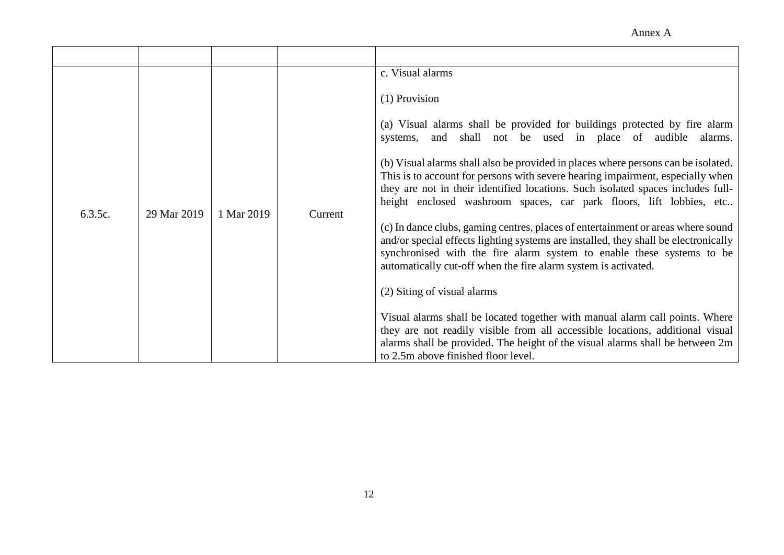Annex A

| 6.3.5c. | 29 Mar 2019 | 1 Mar 2019 | Current | c. Visual alarms<br>(1) Provision<br>(a) Visual alarms shall be provided for buildings protected by fire alarm<br>and shall not be used in place of audible alarms.<br>systems,<br>(b) Visual alarms shall also be provided in places where persons can be isolated.<br>This is to account for persons with severe hearing impairment, especially when<br>they are not in their identified locations. Such isolated spaces includes full-<br>height enclosed washroom spaces, car park floors, lift lobbies, etc<br>(c) In dance clubs, gaming centres, places of entertainment or areas where sound<br>and/or special effects lighting systems are installed, they shall be electronically<br>synchronised with the fire alarm system to enable these systems to be<br>automatically cut-off when the fire alarm system is activated.<br>(2) Siting of visual alarms<br>Visual alarms shall be located together with manual alarm call points. Where<br>they are not readily visible from all accessible locations, additional visual<br>alarms shall be provided. The height of the visual alarms shall be between 2m<br>to 2.5m above finished floor level. |
|---------|-------------|------------|---------|----------------------------------------------------------------------------------------------------------------------------------------------------------------------------------------------------------------------------------------------------------------------------------------------------------------------------------------------------------------------------------------------------------------------------------------------------------------------------------------------------------------------------------------------------------------------------------------------------------------------------------------------------------------------------------------------------------------------------------------------------------------------------------------------------------------------------------------------------------------------------------------------------------------------------------------------------------------------------------------------------------------------------------------------------------------------------------------------------------------------------------------------------------------|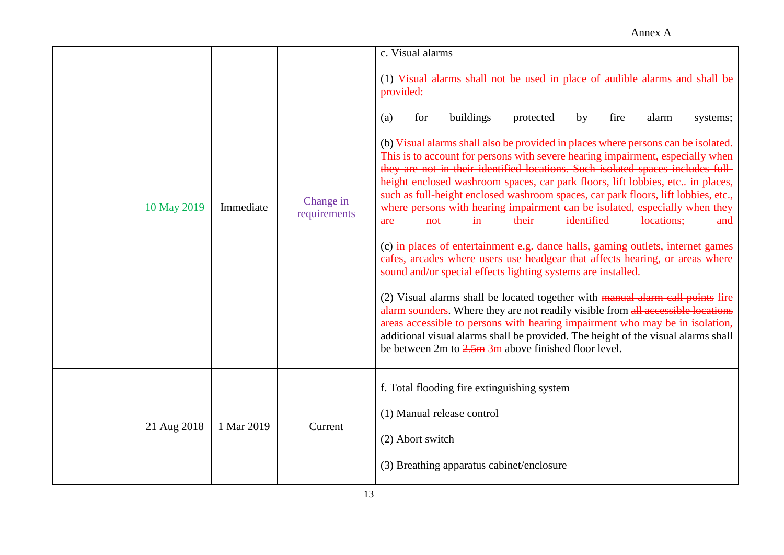|             |            |                           | c. Visual alarms                                                                                                                                                                                                                                                                                                                                                                                                                                                                                                                                                                                                                                                                                                                                                                                                                                                                                                                                                                                                                                                                                                                                                                                                                                                                                                                                                                               |
|-------------|------------|---------------------------|------------------------------------------------------------------------------------------------------------------------------------------------------------------------------------------------------------------------------------------------------------------------------------------------------------------------------------------------------------------------------------------------------------------------------------------------------------------------------------------------------------------------------------------------------------------------------------------------------------------------------------------------------------------------------------------------------------------------------------------------------------------------------------------------------------------------------------------------------------------------------------------------------------------------------------------------------------------------------------------------------------------------------------------------------------------------------------------------------------------------------------------------------------------------------------------------------------------------------------------------------------------------------------------------------------------------------------------------------------------------------------------------|
| 10 May 2019 | Immediate  | Change in<br>requirements | (1) Visual alarms shall not be used in place of audible alarms and shall be<br>provided:<br>buildings<br>for<br>protected<br>by<br>fire<br>alarm<br>(a)<br>systems;<br>(b) Visual alarms shall also be provided in places where persons can be isolated.<br>This is to account for persons with severe hearing impairment, especially when<br>they are not in their identified locations. Such isolated spaces includes full-<br>height enclosed washroom spaces, car park floors, lift lobbies, etc in places,<br>such as full-height enclosed washroom spaces, car park floors, lift lobbies, etc.,<br>where persons with hearing impairment can be isolated, especially when they<br>identified<br>in<br>their<br>locations;<br>not<br>and<br>are<br>(c) in places of entertainment e.g. dance halls, gaming outlets, internet games<br>cafes, arcades where users use headgear that affects hearing, or areas where<br>sound and/or special effects lighting systems are installed.<br>(2) Visual alarms shall be located together with manual alarm call points fire<br>alarm sounders. Where they are not readily visible from all accessible locations<br>areas accessible to persons with hearing impairment who may be in isolation,<br>additional visual alarms shall be provided. The height of the visual alarms shall<br>be between $2m$ to $2.5m$ 3m above finished floor level. |
| 21 Aug 2018 | 1 Mar 2019 | Current                   | f. Total flooding fire extinguishing system<br>(1) Manual release control<br>(2) Abort switch<br>(3) Breathing apparatus cabinet/enclosure                                                                                                                                                                                                                                                                                                                                                                                                                                                                                                                                                                                                                                                                                                                                                                                                                                                                                                                                                                                                                                                                                                                                                                                                                                                     |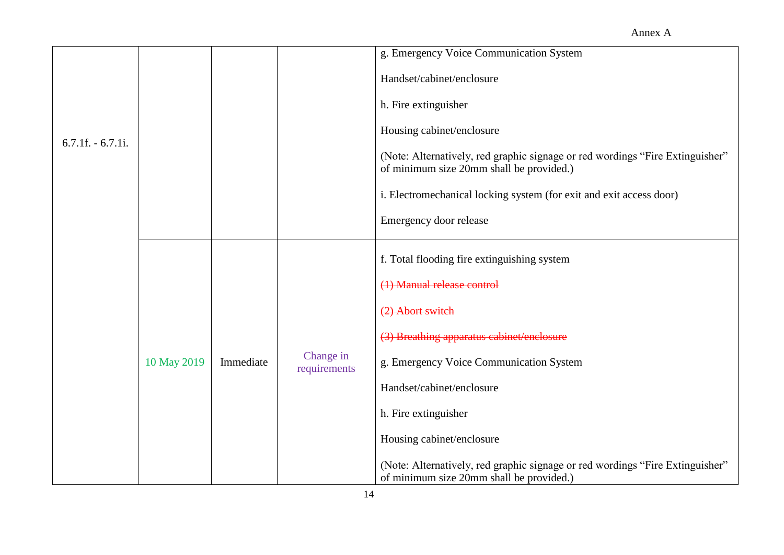|                     |             |           |                           | g. Emergency Voice Communication System                                                                                   |
|---------------------|-------------|-----------|---------------------------|---------------------------------------------------------------------------------------------------------------------------|
|                     |             |           |                           | Handset/cabinet/enclosure                                                                                                 |
|                     |             |           |                           | h. Fire extinguisher                                                                                                      |
|                     |             |           |                           | Housing cabinet/enclosure                                                                                                 |
| $6.7.1f. - 6.7.1i.$ |             |           |                           | (Note: Alternatively, red graphic signage or red wordings "Fire Extinguisher"<br>of minimum size 20mm shall be provided.) |
|                     |             |           |                           | i. Electromechanical locking system (for exit and exit access door)                                                       |
|                     |             |           |                           | Emergency door release                                                                                                    |
|                     |             |           |                           | f. Total flooding fire extinguishing system                                                                               |
|                     | 10 May 2019 | Immediate | Change in<br>requirements | (1) Manual release control                                                                                                |
|                     |             |           |                           | (2) Abort switch                                                                                                          |
|                     |             |           |                           | (3) Breathing apparatus cabinet/enclosure                                                                                 |
|                     |             |           |                           | g. Emergency Voice Communication System                                                                                   |
|                     |             |           |                           | Handset/cabinet/enclosure                                                                                                 |
|                     |             |           |                           | h. Fire extinguisher                                                                                                      |
|                     |             |           |                           | Housing cabinet/enclosure                                                                                                 |
|                     |             |           |                           | (Note: Alternatively, red graphic signage or red wordings "Fire Extinguisher"<br>of minimum size 20mm shall be provided.) |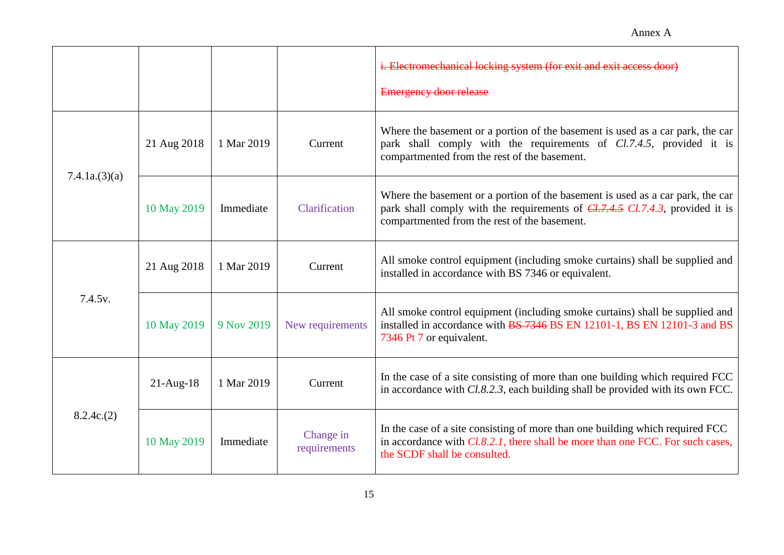|                      |              |            |                           | i. Electromechanical locking system (for exit and exit access door)<br><b>Emergency door release</b>                                                                                                              |
|----------------------|--------------|------------|---------------------------|-------------------------------------------------------------------------------------------------------------------------------------------------------------------------------------------------------------------|
| 7.4.1a(3)(a)         | 21 Aug 2018  | 1 Mar 2019 | Current                   | Where the basement or a portion of the basement is used as a car park, the car<br>park shall comply with the requirements of Cl.7.4.5, provided it is<br>compartmented from the rest of the basement.             |
|                      | 10 May 2019  | Immediate  | Clarification             | Where the basement or a portion of the basement is used as a car park, the car<br>park shall comply with the requirements of $CL7.4.5$ $CL7.4.3$ , provided it is<br>compartmented from the rest of the basement. |
| 7.4.5 <sub>v</sub> . | 21 Aug 2018  | 1 Mar 2019 | Current                   | All smoke control equipment (including smoke curtains) shall be supplied and<br>installed in accordance with BS 7346 or equivalent.                                                                               |
|                      | 10 May 2019  | 9 Nov 2019 | New requirements          | All smoke control equipment (including smoke curtains) shall be supplied and<br>installed in accordance with BS 7346 BS EN 12101-1, BS EN 12101-3 and BS<br>7346 Pt 7 or equivalent.                              |
| 8.2.4c(2)            | $21$ -Aug-18 | 1 Mar 2019 | Current                   | In the case of a site consisting of more than one building which required FCC<br>in accordance with $Cl.8.2.3$ , each building shall be provided with its own FCC.                                                |
|                      | 10 May 2019  | Immediate  | Change in<br>requirements | In the case of a site consisting of more than one building which required FCC<br>in accordance with $Cl.8.2.1$ , there shall be more than one FCC. For such cases,<br>the SCDF shall be consulted.                |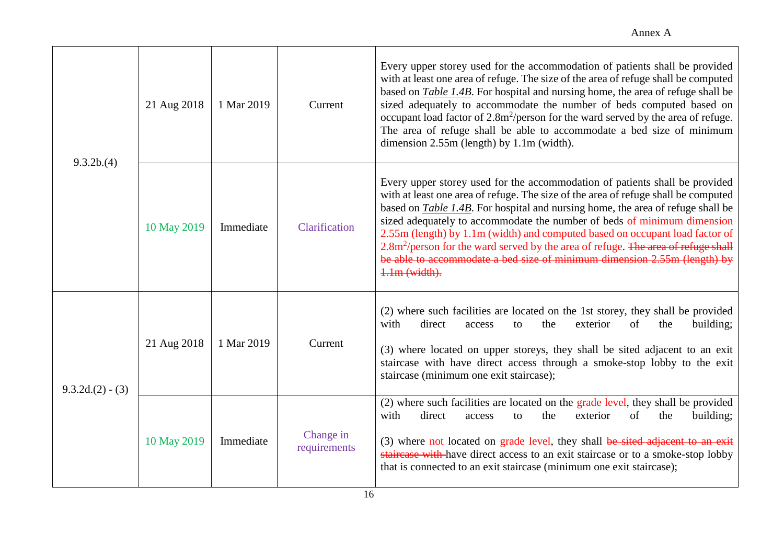| 9.3.2b(4)         | 21 Aug 2018 | 1 Mar 2019 | Current                   | Every upper storey used for the accommodation of patients shall be provided<br>with at least one area of refuge. The size of the area of refuge shall be computed<br>based on Table 1.4B. For hospital and nursing home, the area of refuge shall be<br>sized adequately to accommodate the number of beds computed based on<br>occupant load factor of 2.8m <sup>2</sup> /person for the ward served by the area of refuge.<br>The area of refuge shall be able to accommodate a bed size of minimum<br>dimension $2.55m$ (length) by 1.1m (width).                                                            |
|-------------------|-------------|------------|---------------------------|-----------------------------------------------------------------------------------------------------------------------------------------------------------------------------------------------------------------------------------------------------------------------------------------------------------------------------------------------------------------------------------------------------------------------------------------------------------------------------------------------------------------------------------------------------------------------------------------------------------------|
|                   | 10 May 2019 | Immediate  | Clarification             | Every upper storey used for the accommodation of patients shall be provided<br>with at least one area of refuge. The size of the area of refuge shall be computed<br>based on Table 1.4B. For hospital and nursing home, the area of refuge shall be<br>sized adequately to accommodate the number of beds of minimum dimension<br>2.55m (length) by 1.1m (width) and computed based on occupant load factor of<br>2.8m <sup>2</sup> /person for the ward served by the area of refuge. The area of refuge shall<br>be able to accommodate a bed size of minimum dimension 2.55m (length) by<br>$1.1m$ (width). |
| $9.3.2d(2) - (3)$ | 21 Aug 2018 | 1 Mar 2019 | Current                   | (2) where such facilities are located on the 1st storey, they shall be provided<br>direct<br>exterior<br>building;<br>with<br>the<br>of<br>access<br>the<br>to<br>(3) where located on upper storeys, they shall be sited adjacent to an exit<br>staircase with have direct access through a smoke-stop lobby to the exit<br>staircase (minimum one exit staircase);                                                                                                                                                                                                                                            |
|                   | 10 May 2019 | Immediate  | Change in<br>requirements | (2) where such facilities are located on the grade level, they shall be provided<br>building;<br>with<br>direct<br>the<br>exterior<br>of<br>the<br>to<br>access<br>(3) where not located on grade level, they shall be sited adjacent to an exit<br>staircase with have direct access to an exit staircase or to a smoke-stop lobby<br>that is connected to an exit staircase (minimum one exit staircase);                                                                                                                                                                                                     |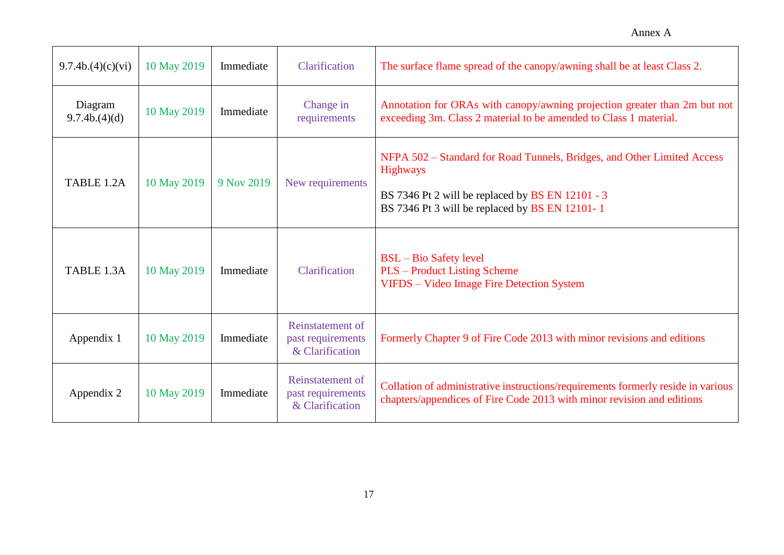| 9.7.4b.(4)(c)(vi)       | 10 May 2019 | Immediate  | Clarification                                            | The surface flame spread of the canopy/awning shall be at least Class 2.                                                                                                                         |
|-------------------------|-------------|------------|----------------------------------------------------------|--------------------------------------------------------------------------------------------------------------------------------------------------------------------------------------------------|
| Diagram<br>9.7.4b(4)(d) | 10 May 2019 | Immediate  | Change in<br>requirements                                | Annotation for ORAs with canopy/awning projection greater than 2m but not<br>exceeding 3m. Class 2 material to be amended to Class 1 material.                                                   |
| TABLE 1.2A              | 10 May 2019 | 9 Nov 2019 | New requirements                                         | NFPA 502 – Standard for Road Tunnels, Bridges, and Other Limited Access<br><b>Highways</b><br>BS 7346 Pt 2 will be replaced by BS EN 12101 - 3<br>BS 7346 Pt 3 will be replaced by BS EN 12101-1 |
| TABLE 1.3A              | 10 May 2019 | Immediate  | Clarification                                            | <b>BSL</b> – Bio Safety level<br><b>PLS</b> – Product Listing Scheme<br>VIFDS - Video Image Fire Detection System                                                                                |
| Appendix 1              | 10 May 2019 | Immediate  | Reinstatement of<br>past requirements<br>& Clarification | Formerly Chapter 9 of Fire Code 2013 with minor revisions and editions                                                                                                                           |
| Appendix 2              | 10 May 2019 | Immediate  | Reinstatement of<br>past requirements<br>& Clarification | Collation of administrative instructions/requirements formerly reside in various<br>chapters/appendices of Fire Code 2013 with minor revision and editions                                       |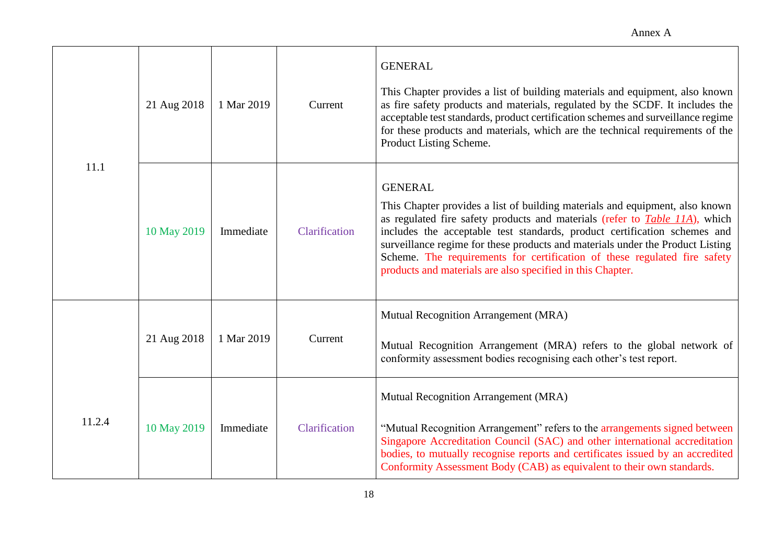| 11.1   | 21 Aug 2018 | 1 Mar 2019 | Current       | <b>GENERAL</b><br>This Chapter provides a list of building materials and equipment, also known<br>as fire safety products and materials, regulated by the SCDF. It includes the<br>acceptable test standards, product certification schemes and surveillance regime<br>for these products and materials, which are the technical requirements of the<br>Product Listing Scheme.                                                                                                                 |
|--------|-------------|------------|---------------|-------------------------------------------------------------------------------------------------------------------------------------------------------------------------------------------------------------------------------------------------------------------------------------------------------------------------------------------------------------------------------------------------------------------------------------------------------------------------------------------------|
|        | 10 May 2019 | Immediate  | Clarification | <b>GENERAL</b><br>This Chapter provides a list of building materials and equipment, also known<br>as regulated fire safety products and materials (refer to <i>Table 11A</i> ), which<br>includes the acceptable test standards, product certification schemes and<br>surveillance regime for these products and materials under the Product Listing<br>Scheme. The requirements for certification of these regulated fire safety<br>products and materials are also specified in this Chapter. |
|        | 21 Aug 2018 | 1 Mar 2019 | Current       | Mutual Recognition Arrangement (MRA)<br>Mutual Recognition Arrangement (MRA) refers to the global network of<br>conformity assessment bodies recognising each other's test report.                                                                                                                                                                                                                                                                                                              |
| 11.2.4 | 10 May 2019 | Immediate  | Clarification | Mutual Recognition Arrangement (MRA)<br>"Mutual Recognition Arrangement" refers to the arrangements signed between<br>Singapore Accreditation Council (SAC) and other international accreditation<br>bodies, to mutually recognise reports and certificates issued by an accredited<br>Conformity Assessment Body (CAB) as equivalent to their own standards.                                                                                                                                   |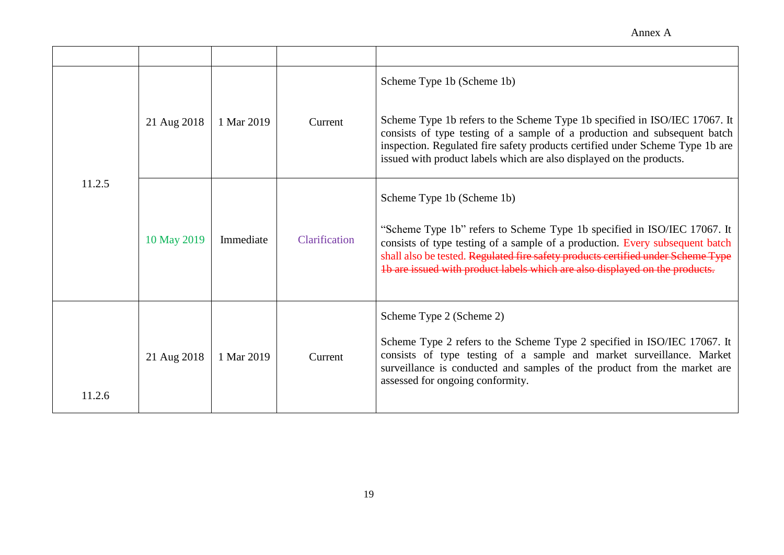|        | 21 Aug 2018 | 1 Mar 2019 | Current       | Scheme Type 1b (Scheme 1b)<br>Scheme Type 1b refers to the Scheme Type 1b specified in ISO/IEC 17067. It<br>consists of type testing of a sample of a production and subsequent batch<br>inspection. Regulated fire safety products certified under Scheme Type 1b are<br>issued with product labels which are also displayed on the products.            |
|--------|-------------|------------|---------------|-----------------------------------------------------------------------------------------------------------------------------------------------------------------------------------------------------------------------------------------------------------------------------------------------------------------------------------------------------------|
| 11.2.5 | 10 May 2019 | Immediate  | Clarification | Scheme Type 1b (Scheme 1b)<br>"Scheme Type 1b" refers to Scheme Type 1b specified in ISO/IEC 17067. It<br>consists of type testing of a sample of a production. Every subsequent batch<br>shall also be tested. Regulated fire safety products certified under Scheme Type<br>1b are issued with product labels which are also displayed on the products. |
| 11.2.6 | 21 Aug 2018 | 1 Mar 2019 | Current       | Scheme Type 2 (Scheme 2)<br>Scheme Type 2 refers to the Scheme Type 2 specified in ISO/IEC 17067. It<br>consists of type testing of a sample and market surveillance. Market<br>surveillance is conducted and samples of the product from the market are<br>assessed for ongoing conformity.                                                              |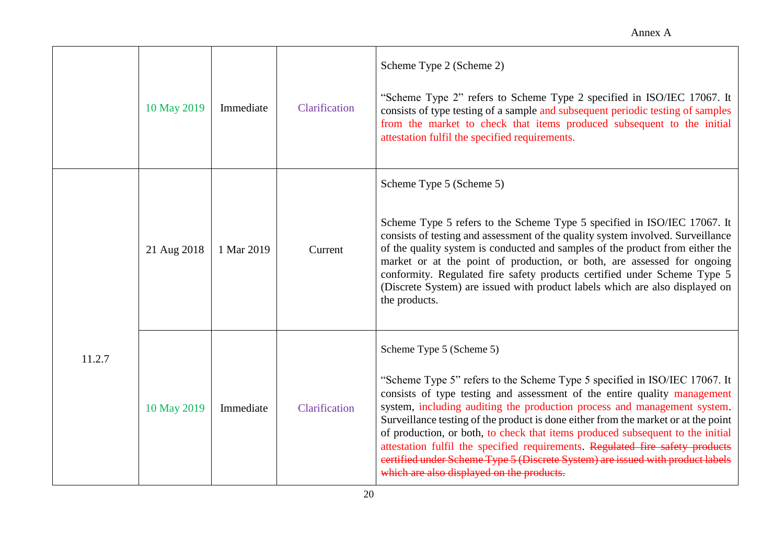|        | 10 May 2019 | Immediate  | Clarification | Scheme Type 2 (Scheme 2)<br>"Scheme Type 2" refers to Scheme Type 2 specified in ISO/IEC 17067. It<br>consists of type testing of a sample and subsequent periodic testing of samples<br>from the market to check that items produced subsequent to the initial<br>attestation fulfil the specified requirements.                                                                                                                                                                                                                                                                                                                                      |
|--------|-------------|------------|---------------|--------------------------------------------------------------------------------------------------------------------------------------------------------------------------------------------------------------------------------------------------------------------------------------------------------------------------------------------------------------------------------------------------------------------------------------------------------------------------------------------------------------------------------------------------------------------------------------------------------------------------------------------------------|
|        | 21 Aug 2018 | 1 Mar 2019 | Current       | Scheme Type 5 (Scheme 5)<br>Scheme Type 5 refers to the Scheme Type 5 specified in ISO/IEC 17067. It<br>consists of testing and assessment of the quality system involved. Surveillance<br>of the quality system is conducted and samples of the product from either the<br>market or at the point of production, or both, are assessed for ongoing<br>conformity. Regulated fire safety products certified under Scheme Type 5<br>(Discrete System) are issued with product labels which are also displayed on<br>the products.                                                                                                                       |
| 11.2.7 | 10 May 2019 | Immediate  | Clarification | Scheme Type 5 (Scheme 5)<br>"Scheme Type 5" refers to the Scheme Type 5 specified in ISO/IEC 17067. It<br>consists of type testing and assessment of the entire quality management<br>system, including auditing the production process and management system.<br>Surveillance testing of the product is done either from the market or at the point<br>of production, or both, to check that items produced subsequent to the initial<br>attestation fulfil the specified requirements. Regulated fire safety products<br>certified under Scheme Type 5 (Discrete System) are issued with product labels<br>which are also displayed on the products. |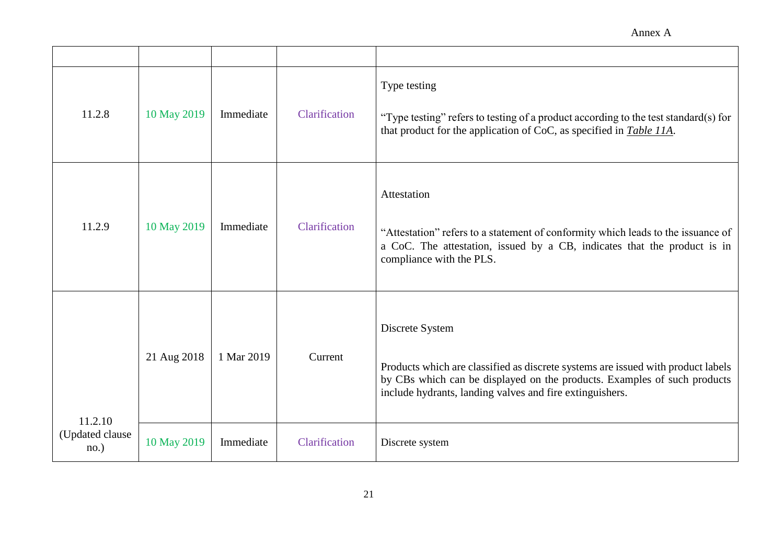| 11.2.8                   | 10 May 2019 | Immediate  | Clarification | Type testing<br>"Type testing" refers to testing of a product according to the test standard(s) for<br>that product for the application of CoC, as specified in <i>Table 11A</i> .                                                          |
|--------------------------|-------------|------------|---------------|---------------------------------------------------------------------------------------------------------------------------------------------------------------------------------------------------------------------------------------------|
| 11.2.9                   | 10 May 2019 | Immediate  | Clarification | Attestation<br>"Attestation" refers to a statement of conformity which leads to the issuance of<br>a CoC. The attestation, issued by a CB, indicates that the product is in<br>compliance with the PLS.                                     |
| 11.2.10                  | 21 Aug 2018 | 1 Mar 2019 | Current       | Discrete System<br>Products which are classified as discrete systems are issued with product labels<br>by CBs which can be displayed on the products. Examples of such products<br>include hydrants, landing valves and fire extinguishers. |
| (Updated clause)<br>no.) | 10 May 2019 | Immediate  | Clarification | Discrete system                                                                                                                                                                                                                             |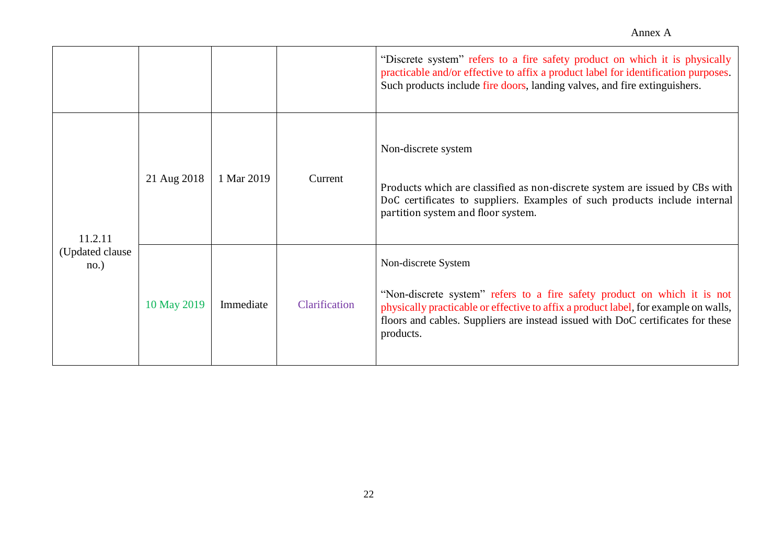|                          |             |            |               | "Discrete system" refers to a fire safety product on which it is physically<br>practicable and/or effective to affix a product label for identification purposes.<br>Such products include fire doors, landing valves, and fire extinguishers.                                         |
|--------------------------|-------------|------------|---------------|----------------------------------------------------------------------------------------------------------------------------------------------------------------------------------------------------------------------------------------------------------------------------------------|
| 11.2.11                  | 21 Aug 2018 | 1 Mar 2019 | Current       | Non-discrete system<br>Products which are classified as non-discrete system are issued by CBs with<br>DoC certificates to suppliers. Examples of such products include internal<br>partition system and floor system.                                                                  |
| (Updated clause)<br>no.) | 10 May 2019 | Immediate  | Clarification | Non-discrete System<br>"Non-discrete system" refers to a fire safety product on which it is not<br>physically practicable or effective to affix a product label, for example on walls,<br>floors and cables. Suppliers are instead issued with DoC certificates for these<br>products. |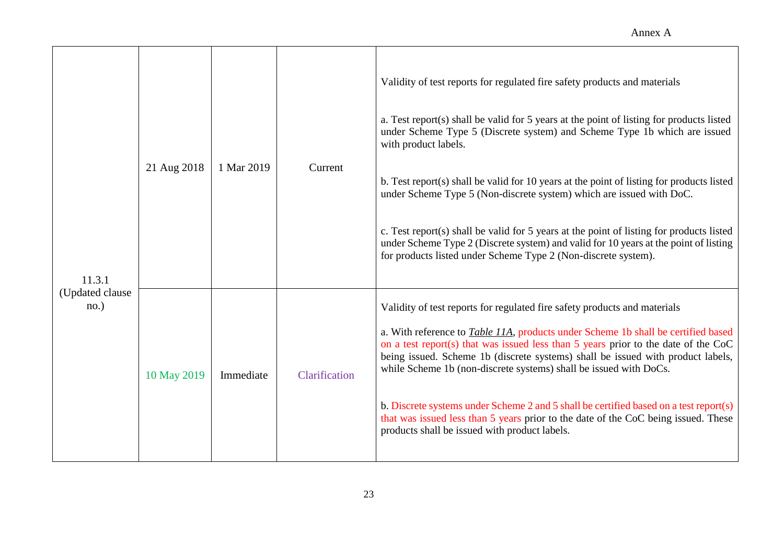| 11.3.1<br>(Updated clause)<br>no.) | 21 Aug 2018 | 1 Mar 2019 | Current       | Validity of test reports for regulated fire safety products and materials<br>a. Test report(s) shall be valid for 5 years at the point of listing for products listed<br>under Scheme Type 5 (Discrete system) and Scheme Type 1b which are issued<br>with product labels.<br>b. Test report(s) shall be valid for 10 years at the point of listing for products listed<br>under Scheme Type 5 (Non-discrete system) which are issued with DoC.<br>c. Test report(s) shall be valid for 5 years at the point of listing for products listed<br>under Scheme Type 2 (Discrete system) and valid for 10 years at the point of listing<br>for products listed under Scheme Type 2 (Non-discrete system). |
|------------------------------------|-------------|------------|---------------|-------------------------------------------------------------------------------------------------------------------------------------------------------------------------------------------------------------------------------------------------------------------------------------------------------------------------------------------------------------------------------------------------------------------------------------------------------------------------------------------------------------------------------------------------------------------------------------------------------------------------------------------------------------------------------------------------------|
|                                    | 10 May 2019 | Immediate  | Clarification | Validity of test reports for regulated fire safety products and materials<br>a. With reference to <i>Table 11A</i> , products under Scheme 1b shall be certified based<br>on a test report(s) that was issued less than 5 years prior to the date of the CoC<br>being issued. Scheme 1b (discrete systems) shall be issued with product labels,<br>while Scheme 1b (non-discrete systems) shall be issued with DoCs.<br>b. Discrete systems under Scheme 2 and 5 shall be certified based on a test report(s)<br>that was issued less than 5 years prior to the date of the CoC being issued. These<br>products shall be issued with product labels.                                                  |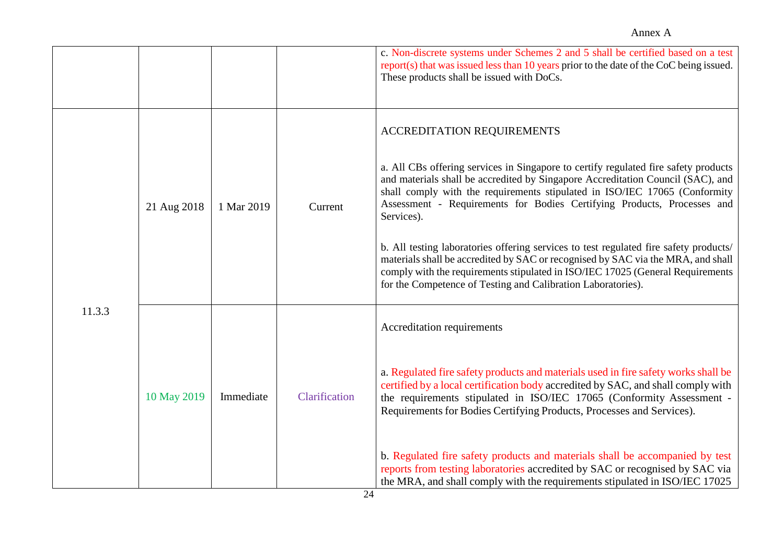|        |             |            |               | c. Non-discrete systems under Schemes 2 and 5 shall be certified based on a test<br>$report(s)$ that was issued less than 10 years prior to the date of the CoC being issued.<br>These products shall be issued with DoCs.                                                                                                                                                                                                                                                                                                                                                                                                                                                                                 |
|--------|-------------|------------|---------------|------------------------------------------------------------------------------------------------------------------------------------------------------------------------------------------------------------------------------------------------------------------------------------------------------------------------------------------------------------------------------------------------------------------------------------------------------------------------------------------------------------------------------------------------------------------------------------------------------------------------------------------------------------------------------------------------------------|
| 11.3.3 | 21 Aug 2018 | 1 Mar 2019 | Current       | ACCREDITATION REQUIREMENTS<br>a. All CBs offering services in Singapore to certify regulated fire safety products<br>and materials shall be accredited by Singapore Accreditation Council (SAC), and<br>shall comply with the requirements stipulated in ISO/IEC 17065 (Conformity<br>Assessment - Requirements for Bodies Certifying Products, Processes and<br>Services).<br>b. All testing laboratories offering services to test regulated fire safety products/<br>materials shall be accredited by SAC or recognised by SAC via the MRA, and shall<br>comply with the requirements stipulated in ISO/IEC 17025 (General Requirements<br>for the Competence of Testing and Calibration Laboratories). |
|        | 10 May 2019 | Immediate  | Clarification | Accreditation requirements<br>a. Regulated fire safety products and materials used in fire safety works shall be<br>certified by a local certification body accredited by SAC, and shall comply with<br>the requirements stipulated in ISO/IEC 17065 (Conformity Assessment -<br>Requirements for Bodies Certifying Products, Processes and Services).<br>b. Regulated fire safety products and materials shall be accompanied by test                                                                                                                                                                                                                                                                     |
|        |             |            |               | reports from testing laboratories accredited by SAC or recognised by SAC via<br>the MRA, and shall comply with the requirements stipulated in ISO/IEC 17025                                                                                                                                                                                                                                                                                                                                                                                                                                                                                                                                                |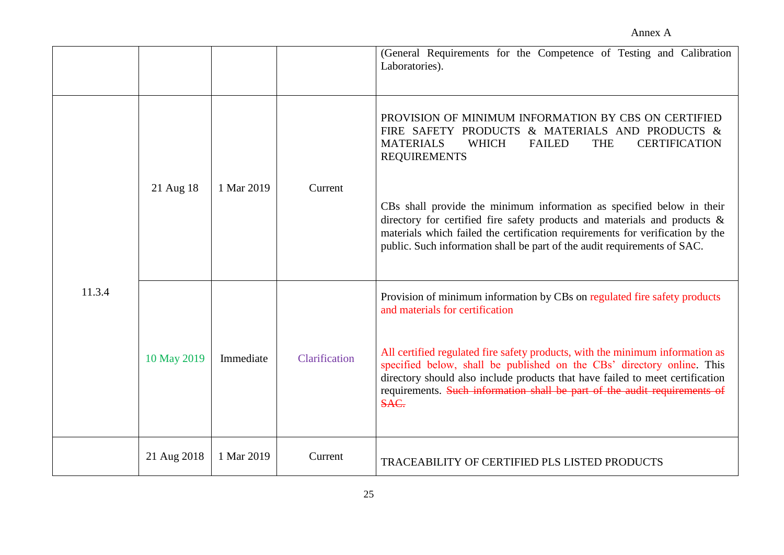|        |             |            |               | (General Requirements for the Competence of Testing and Calibration<br>Laboratories).                                                                                                                                                                                                                                         |
|--------|-------------|------------|---------------|-------------------------------------------------------------------------------------------------------------------------------------------------------------------------------------------------------------------------------------------------------------------------------------------------------------------------------|
|        | 21 Aug 18   | 1 Mar 2019 | Current       | PROVISION OF MINIMUM INFORMATION BY CBS ON CERTIFIED<br>FIRE SAFETY PRODUCTS & MATERIALS AND PRODUCTS &<br>WHICH<br><b>THE</b><br><b>CERTIFICATION</b><br><b>MATERIALS</b><br><b>FAILED</b><br><b>REQUIREMENTS</b>                                                                                                            |
|        |             |            |               | CBs shall provide the minimum information as specified below in their<br>directory for certified fire safety products and materials and products &<br>materials which failed the certification requirements for verification by the<br>public. Such information shall be part of the audit requirements of SAC.               |
| 11.3.4 |             |            |               | Provision of minimum information by CBs on regulated fire safety products<br>and materials for certification                                                                                                                                                                                                                  |
|        | 10 May 2019 | Immediate  | Clarification | All certified regulated fire safety products, with the minimum information as<br>specified below, shall be published on the CBs' directory online. This<br>directory should also include products that have failed to meet certification<br>requirements. Such information shall be part of the audit requirements of<br>SAC. |
|        | 21 Aug 2018 | 1 Mar 2019 | Current       | TRACEABILITY OF CERTIFIED PLS LISTED PRODUCTS                                                                                                                                                                                                                                                                                 |